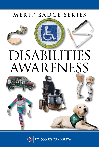# MERIT BADGE SERIES



# DISABILITIES AWARENESS



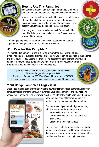

### **How to Use This Pamphlet**

The secret to successfully earning a merit badge is for you to use both the pamphlet and the suggestions of your counselor.

Your counselor can be as important to you as a coach is to an athlete. Use all of the resources your counselor can make available to you. This may be the best chance you will have to learn about this particular subject. Make it count.

If you or your counselor feels that any information in this pamphlet is incorrect, please let us know. Please state your source of information.

Merit badge pamphlets are reprinted annually and requirements updated regularly. Your suggestions for improvement are welcome.

# **Who Pays for This Pamphlet?**

This merit badge pamphlet is one in a series of more than 100 covering all kinds of hobby and career subjects. It is made available for you to buy as a service of the national and local councils, Boy Scouts of America. The costs of the development, writing, and editing of the merit badge pamphlets are paid for by the Boy Scouts of America in order to bring you the best book at a reasonable price.

Send comments along with a brief statement about yourself to Pilots and Program Development, S272 Boy Scouts of America • 1325 West Walnut Hill Lane • Irving, TX 75038 If you prefer, you may send your comments to merit.badge@Scouting.org.



# **Merit Badge Pamphlet + Digi = iFun**

Experience cutting-edge technology with the new digital merit badge pamphlet using your computer, tablet, or smartphone. Just purchase your digital pamphlet and you will have access to it—on the go—wherever you may be. The interactive digital version of the printed



copy includes special features, videos, extra photos, and other supplemental information.

The interactive digital merit badge pamphlets, which are searchable, include a mix of

- How-to videos and animations
- Interactive question and answer quizzes
- Slide shows
- Career biographies and videos

For a current list of interactive digital merit badge pamphlets, go to www.boyslife.org/meritbadges. (Be sure you have your parent's permission before you download or purchase anything online.)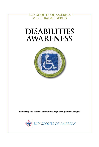**BOY SCOUTS OF AMERICA MERIT BADGE SERIES**

# **DISABILITIES AWARENESS**



*"Enhancing our youths' competitive edge through merit badges"*

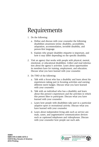# Requirements

- 1. Do the following:
	- a. Define and discuss with your counselor the following disabilities awareness terms: disability, accessibility, adaptation, accommodation, invisible disability, and person-first language.
	- b. Explain why proper disability etiquette is important, and how it may differ depending on the specific disability.
- 2. Visit an agency that works with people with physical, mental, emotional, or educational disabilities. Collect and read information about the agency's activities. Learn about opportunities its members have for training, employment, and education. Discuss what you have learned with your counselor.
- 3. Do TWO of the following:
	- a. Talk with a Scout who has a disability and learn about his experiences taking part in Scouting activities and earning different merit badges. Discuss what you have learned with your counselor.
	- b. Talk with an individual who has a disability and learn about this person's experiences and the activities in which this person likes to participate. Discuss what you have learned with your counselor.
	- c. Learn how people with disabilities take part in a particular adaptive sport or recreational activity. Discuss what you have learned with your counselor.
	- d. Learn about independent living aids such as service animals, canes, and augmentative communication devices such as captioned telephones and videophones. Discuss with your counselor how people use such aids.

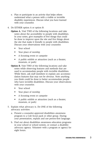- e. Plan or participate in an activity that helps others understand what a person with a visible or invisible disability experiences. Discuss what you have learned with your counselor.
- 4. Do EITHER option A or option B:
	- **Option A.** Visit TWO of the following locations and take notes about the accessibility to people with disabilities. In your notes, give examples of five things that could be done to improve upon the site and five things about the site that make it friendly to people with disabilities. Discuss your observations with your counselor.
		- Your school
		- Your place of worship
		- A Scouting event or campsite
		- A public exhibit or attraction (such as a theater, museum, or park)
	- **Option B.** Visit TWO of the following locations and take notes while observing features and methods that are used to accommodate people with invisible disabilities. While there, ask staff members to explain any accommodation features that may not be obvious. Note anything you think could be done to better accommodate people who have invisible disabilities. Discuss your observations with your counselor.
		- Your school
		- Your place of worship
		- A Scouting event or campsite
		- A public exhibit or attraction (such as a theater, museum, or park)
- 5. Explain what advocacy is. Do ONE of the following advocacy activities:
	- a. Present a counselor-approved disabilities awareness program to a Cub Scout pack or other group. During your presentation, explain and use person-first language.
	- b. Find out about disabilities awareness education programs in your school or school system, or contact a disability advocacy agency. Volunteer with a program or agency for eight hours.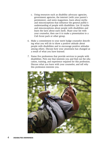- c. Using resources such as disability advocacy agencies, government agencies, the internet (with your parent's permission), and news magazines, learn about myths and misconceptions that influence the general public's understanding of people with disabilities. List 10 myths and misconceptions about people with disabilities and learn the facts about each myth. Share your list with your counselor, then use it to make a presentation to a Cub Scout pack or other group.
- 6. Make a commitment to your merit badge counselor describing what you will do to show a positive attitude about people with disabilities and to encourage positive attitudes among others. Discuss how your awareness has changed as a result of what you have learned.
- 7. Name five professions that provide services to people with disabilities. Pick one that interests you and find out the education, training, and experience required for this profession. Discuss what you learn with your counselor, and tell why this profession interests you.

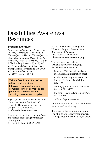# Disabilities Awareness Resources

#### **Scouting Literature**

*Architecture and Landscape Architecture, Athletics, Citizenship in the Community, Citizenship in the Nation, Citizenship in the World, Communication, Digital Technology, Engineering, First Aid, Inventing, Medicine, Public Speaking, Robotics, Signs, Signals, and Codes,* and *Sports* merit badge pamphlets; *Guide to Safe Scouting,* No. 34416; and *Guide to Advancement,* No. 33088 (section 10.0.0.0)

Visit the Boy Scouts of America's official retail website at http://www.scoutstuff.org for a complete listing of all merit badge pamphlets and other helpful Scouting materials and supplies.

*Boys' Life* magazine in Braille. National Library Service for the Blind and Physically Handicapped, Library of Congress, Washington DC. Toll-free telephone: 800-424-8567

Recordings of the *Boy Scout Handbook* and various merit badge pamphlets. Learning Ally. Toll-free telephone: 800-221-4792

*Boy Scout Handbook* in large print. Pilots and Program Development, Boy Scouts of America. Send requests via email to advancement.team@scouting.org.

The following materials are available at [www.scouting.org/](http://www.scouting.org/disabilitiesawareness.aspx) [disabilitiesawareness.aspx:](http://www.scouting.org/disabilitiesawareness.aspx)

- Scouting With Special Needs and Disabilities, an information sheet
- Guide to Working With Scouts With Special Needs and Disabilities, No. 510-071
- *Scouting for Youth With Disabilities Manual,* No. 34059
- Individual Scout Advancement Plan, No. 512-936
- *Abilities Digest* newsletter

For more information, email Disabilities. Awareness@scouting.org.

Resources for bullying prevention are available at [http://www.scouting.org/](http://www.scouting.org/Training/YouthProtection/bullying.aspx) [Training/YouthProtection/bullying.aspx.](http://www.scouting.org/Training/YouthProtection/bullying.aspx)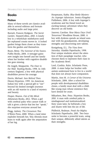### **Books**

#### **Fiction**

Many of these novels are classics available in several editions and formats including audio and large print.

Burnett, Frances Hodgson. *The Secret Garden.* HarperCollins, 2010. A lonely boy in a wheelchair misbehaves until his orphaned cousin moves in. A locked garden brings them closer as they transform the garden and themselves.

Byars, Betsy. *The Summer of the Swans.* Puffin Books, 2004. A teenager gains new insight into herself and her family when her brother with cognitive disabilities goes missing.

De Angeli, Marguerite. *The Door in the Wall.* Yearling Books, 1998. In 14thcentury England, a boy with physical disabilities proves his courage.

Dorris, Michael. *Sees Behind Trees.*  Disney-Hyperion, 1999. An American Indian boy with a special gift to "see" beyond his limited eyesight journeys with an old warrior to a land of mystery and beauty.

Draper, Sharon. *Out of My Mind.*  Atheneum Books, 2012. When a girl with cerebral palsy who cannot walk or talk is given a device that lets her "speak," she surprises everyone around her.

Flegg, Aubrey. *The Cinnamon Tree.*  O'Brien Press, 2000. When a land mine explodes beneath her, Yola Abonda must learn to walk again after the amputation of her leg.

Hoopmann, Kathy. *Blue Bottle Mystery: An Asperger Adventure.* Jessica Kingsley Publishers, 2006. A boy with Asperger's syndrome and his friend travel an exciting fantasy adventure when they discover an old bottle.

Janover, Caroline. H*ow Many Days Until Tomorrow?* Woodbine House, 2000. A boy with dyslexia spends an island summer with his grandparents, developing strengths and discovering new talents.

Konigsburg, E.L. *The View from Saturday.* Aladdin Paperbacks, 1998. Four unique students attract the attention of their paraplegic teacher, who chooses them to represent their class in the Academic Bowl.

Lord, Cynthia. *Rules*. Scholastic Press, 2008. A sister helps her brother with autism understand how to live in a world that does not always have compassion.

Martin, Ann M. *A Corner of the Universe.*  Scholastic, 2004. After a school for people with developmental disabilities closes, a family must deal with a childlike young man whose existence they have denied for years.

Mikaelsen, Ben. *Petey*. Hyperion Books, 2010. A man with cerebral palsy is misdiagnosed and institutionalized. Sixty years later, he befriends a boy and shares with him the joy of life.

Philbrick, Rodman. *Freak the Mighty.*  Scholastic Paperbacks, 2001. Two boys unite to become a powerful team, using their unique, differently abled talents as their strengths.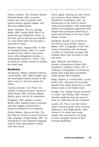Polacco, Patricia. *The Junkyard Wonder.*  Philomel Books, 2010. A teacher inspires her class of students with special needs to greater heights, and discovers hidden genius.

Taylor, Theodore. *The Cay*. Yearling Books, 2003. During World War II, an adolescent boy, blinded by a blow on the head, and an old man are stranded on a tiny island where the boy gains a new kind of vision.

Winkler, Henry. *Niagara Falls, or Does It?* Turtleback Books, 2003. In a series inspired by the author's own experiences with undiagnosed dyslexia, a fourth-grader decides to "show'" how he spent his summer instead of writing the usual essay.

#### **Nonfiction**

Abramovitz, Melissa. *Multiple Sclerosis.*  Lucent Books, 2010. Offers insights into the neurological disease known as MS, what causes it, and how people live with it.

Corman, Richard. *I Am Proud: The Athletes of Special Olympics.* Barnes & Noble Books, 2003. Portrays athletes' dignity, grace, and joy in competition.

Dougherty, Terri. *Epilepsy*. Lucent Books, 2009. Explains types of seizures and their triggers, and provides a historical perspective on treatments.

Flodin, Mickey. *Signing for Kids: The Fun Way for Anyone to Learn American Sign Language.* Perigee Books, 2007. An introduction to the expressive language used by many deaf people to speak with their hands.

Floyd, Ingrid. *Opening the Gate: Stories and Activities About Athletes With Disabilities.* CreateSpace, 2013. An introduction to the world of wheelchairs and prosthetics, with outstanding athletes recounting the experiences that helped them participate effectively in sports and led them to the top of their athletic careers.

Freedman, Russell. *Out of Darkness: The Story of Louis Braille.* Clarion Books, 1999. A biography of the 19thcentury Frenchman who developed a system of raised dots on paper that enabled others who are blind to read and write.

Kent, Deborah, and Kathryn A. Quinlan. *Extraordinary People With Disabilities.* Children's Press, 1997. A collection of biographies of 48 famous people who made great accomplishments despite their disability.

Kling, Andrew A. *Cerebral Palsy.* Lucent Books, 2012. Discusses the incurable disorder that strikes about two in 1,000 infants yearly in the United States.

Krueger, Tira. *Taking Tourette Syndrome to School.* JayJo Books, 2002. Portrays Tourette syndrome from the point of view of a child who has the condition.

Lauren, Jill. T*hat's Like Me! Stories About Amazing People With Learning Differences.* Star Bright Books, 2009. Stories of 16 adults and young people who overcome by focusing on their strengths instead of their learning disabilities.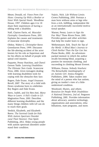Meyer, Donald, ed. *Views From Our Shoes: Growing Up With a Brother or Sister With Special Needs.* Woodbine House, 1997. Children ages 4 to 18 share their experiences of having a sibling with a disability.

Naff, Clayton Farris, ed. *Muscular Dystrophy.* Greenhaven Press, 2011. Explains the causes and treatments of muscular dystrophy.

Oleksy, Walter G. *Christopher Reeve.* Greenhaven Press, 1999. Discusses the life-altering accident of the actor known for his role as Superman and for his efforts on behalf of people with spinal cord injuries.

Paquette, Penny Hutchins, and Cheryl Gerson Tuttle. *Learning Disabilities: The Ultimate Teen Guide.* Scarecrow Press, 2006. Gives teenagers dealing with learning disabilities tools for coping with the obstacles they face.

Rogers, Dale Evans. *Angel Unaware.*  Revell, 2007. The story of a child with Down syndrome born to celebrities Roy Rogers and Dale Evans.

Stern, Judith, and Uzi Ben-Ami. *Many Ways to Learn: A Kid's Guide to LD.* Magination Press, 2010. Describes different learning disabilities and the many things children with LD can do to reach their goals.

Verdick, Elizabeth, and Elizabeth Reeve. *The Survival Guide for Kids With Autism Spectrum Disorder (and Their Parents).* Free Spirit Publishing, 2012. Helps young people with autism spectrum disorders understand their condition.

Vujicic, Nick. *Life Without Limits.*  Crown Publishing, 2010. Portrays a man born without arms or legs who lives a rich, fulfilling, independent life as an internationally successful motivational speaker.

Warner, Penny. *Learn to Sign the Fun Way!* Three Rivers Press, 2001. Provides games and other activities that help the reader learn to sign.

Weihenmayer, Erik. *Touch the Top of the World: A Blind Man's Journey to Climb Farther Than the Eye Can See.*  Plume Books, 2002. An adventurepacked memoir in which the author recalls becoming blind, acquiring a passion for mountain climbing, and succeeding in climbing Mount Everest.

Williams, Donna. *Nobody Nowhere: The Remarkable Autobiography of an Autistic Girl.* Jessica Kingsley Publishers, 2004. Takes readers into the mind of a person who has autism, giving an insider's view of a littleunderstood condition.

Woodyard, Shawn, and others. *Resources for People With Disabilities: A National Directory, 2nd ed.* Ferguson Publishing, 2001. Provides information about advocacy, assistive technology, organizations and associations, rehabilitations, state programs, and more.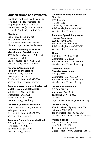### **Organizations and Websites**

In addition to those listed here, many local and regional organizations support people with disabilities. Internet searches (with your parent's permission) will help you find them.

#### **AbleData**

103 W. Broad St., Suite 400 Falls Church, VA 22046 Toll-free telephone: 800-227-0216 Website: http://www.abledata.com

#### **American Academy of Physical Medicine and Rehabilitation**

9700 W. Bryn Mawr Ave., Suite 200 Rosemont, IL 60018 Toll-free telephone: 877-227-6799 Website: http://www.aapmr.org

#### **American Association of People With Disabilities**

2013 H St. NW, Fifth Floor Washington, DC 20006 Toll-free telephone: 800-840-8844 Website: http://www.aapd.com

#### **American Association on Intellectual and Developmental Disabilities**

501 Third St. NW, Suite 200 Washington, DC 20001 Telephone: 202-387-1968 Website: http://aaidd.org

#### **American Council of the Blind**

1703 N. Beauregard St., Suite 420 Arlington, VA 22201 Toll-free telephone: 800-424-8666 Website: http://acb.org

#### **American Foundation for the Blind**

2 Penn Plaza, Suite 1102 New York, NY 10121 Telephone: 212-502-7600 Website: http://afb.org

#### **American Printing House for the Blind Inc.**

1839 Frankfort Ave. P.O. Box 6085 Louisville, KY 40206-0085 Toll-free telephone: 800-223-1839 Website: http://www.aph.org

#### **American Speech-Language-Hearing Association**

2200 Research Blvd. Rockville, MD 20850-3289 Toll-free telephone: 800-638-8255 Website: http://www.asha.org

#### **The Arc**

1825 K St. NW, Suite 1200 Washington, DC 20006 Toll-free telephone: 800-433-5255 Website: http://www.thearc.org

#### **Attention Deficit Disorder Association**

P.O. Box 7557 Wilmington, DE 19803-9997 Toll-free telephone: 800-939-1019 Website: http://www.add.org

#### **Autism Empowerment**

P.O. Box 871676 Vancouver, WA 98687 Telephone: 360-852-8369 Website: http://www.autismempowerment.org

#### **Autism Society**

4340 East-West Highway, Suite 350 Bethesda, MD 20814 Toll-free telephone: 800-328-8476 Website: http://www.autism-society.org

#### **Autism Speaks**

1 E. 33rd St., Fourth Floor New York, NY 10016 Telephone: 212-252-8584 Website: http://www.autismspeaks.org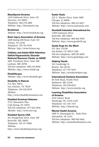#### **BlazeSports America**

1670 Oakbrook Drive, Suite 331 Norcross, GA 30093 Telephone: 404-270-2000 Website: http://blazesports.org

#### **Bookshare**

Website: http://www.bookshare.org

#### **Brain Injury Association of America**

1608 Spring Hill Road, Suite 110 Vienna, VA 22182 Telephone: 703-761-0750 Website: http://www.biausa.org

#### **Children and Adults With Attention-Deficit/Hyperactivity Disorder National Resource Center on ADHD**

4601 Presidents Drive, Suite 300 Lanham, MD 20706 Toll-free telephone: 800-233-4050 Website: http://www.chadd.org

**Disability.gov** Website: http://www.disability.gov

#### **Disability Is Natural**

P.O. Box 39076 San Antonio, TX 78218 Telephone: 210-320-0678 Website: http://www.disabilityisnatural.com

#### **Disabled American Veterans**

3725 Alexandria Pike Cold Spring, KY 41076 Toll-free telephone: 877-426-2838 Website: http://www.dav.org

#### **Disabled Sports USA**

451 Hungerford Drive, Suite 100 Rockville, MD 20850 Telephone: 301-217-0960 Website: http://www.disabledsportsusa.org

#### **Easter Seals**

233 S. Wacker Drive, Suite 2400 Chicago, IL 60606 Toll-free telephone: 800-221-6827 Website: http://www.easterseals.com

#### **Goodwill Industries International Inc.**

15810 Indianola Drive Rockville, MD 20855 Toll-free telephone: 800-466-3945 Website: http://www.goodwill.org

#### **Guide Dogs for the Blind**

P.O. Box 151200 San Rafael, CA 94915-1200 Toll-free telephone: 800-295-4050 Website: http://www.guidedogs.com

#### **Helping Hands**

541 Cambridge St. Boston, MA 02134 Telephone: 617-787-4419 Website: http://monkeyhelpers.org/

#### **International Dyslexia Association**

40 York Road, Fourth Floor Baltimore, MD 21204 Telephone: 410-296-0232 Website: http://www.interdys.org

#### **Learning Disabilities Association of America**

4156 Library Road Pittsburgh, PA 15234-1349 Telephone: 412-341-1515 Website: http://ldanatl.org

#### **Mental Health America**

2000 N. Beauregard St., Sixth Floor Alexandria, VA 22311 Toll-free telephone: 800-969-6642 Website: http://mentalhealthamerica.net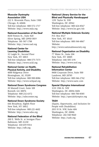#### **Muscular Dystrophy Association USA**

222 S. Riverside Plaza, Suite 1500 Chicago, IL 60606 Toll-free telephone: 800-572-1717 Website: http://www.mda.org

#### **National Association of the Deaf**

8630 Fenton St., Suite 820 Silver Spring, MD 20910-3819 Telephone: 301-587-1788 Website: http://www.nad.org

#### **National Center for Learning Disabilities**

32 Laight St., Second Floor New York, NY 10013 Toll-free telephone: 888-575-7373 Website: http://www.ncld.org

#### **National Center on Health, Physical Activity, and Disability**

4000 Ridgeway Drive Birmingham, AL 35209 Toll-free telephone: 800-900-8086 Website: http://www.nchpad.org

#### **National Down Syndrome Congress**

30 Mansell Court, Suite 108 Roswell, GA 30076 Telephone: 800-232-6372 Website: http://ndsccenter.org

#### **National Down Syndrome Society**

666 Broadway, Eighth Floor New York, NY 10012 Toll-free telephone: 800-221-4602 Website: http://www.ndss.org

#### **National Federation of the Blind**

200 E. Wells St. at Jernigan Place Baltimore, MD 21230 Telephone: 410-659-9314 Website: http://nfb.org

#### **National Library Service for the Blind and Physically Handicapped**

1291 Taylor St. NW Washington, DC 20542 Toll-free telephone: 800-424-8567 Website: http://www.loc.gov/nls

#### **National Multiple Sclerosis Society**

P.O. Box 4527 New York, NY 10163 Toll-free telephone: 800-344-4867 Website: http://www.nationalmssociety.org

#### **National Organization on Disability**

77 Water St., Suite 204 New York, NY 10005 Telephone: 646-505-1191 Website: http://www.nod.org

#### **National Rehabilitation Information Center**

8400 Corporate Drive, Suite 500 Landover, MD 20785 Toll-free telephone: 800-346-2742 Website: http://www.naric.com

#### **Special Olympics International**

1133 19th St. NW Washington, DC 20036-3604 Toll-free telephone: 800-700-8585 Website: http://specialolympics.org

#### **TASH**

(Equity, Opportunity, and Inclusion for People with Disabilities) 2013 H St. NW, Suite 404 Washington, DC 20006 Telephone: 202-540-9020 Website: http://tash.org